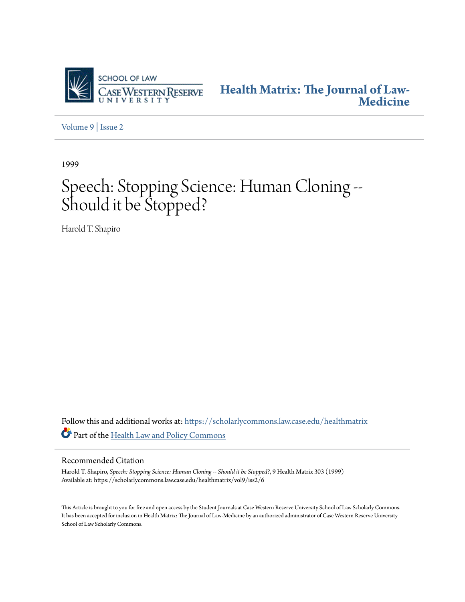

**[Health Matrix: The Journal of Law-](https://scholarlycommons.law.case.edu/healthmatrix?utm_source=scholarlycommons.law.case.edu%2Fhealthmatrix%2Fvol9%2Fiss2%2F6&utm_medium=PDF&utm_campaign=PDFCoverPages)[Medicine](https://scholarlycommons.law.case.edu/healthmatrix?utm_source=scholarlycommons.law.case.edu%2Fhealthmatrix%2Fvol9%2Fiss2%2F6&utm_medium=PDF&utm_campaign=PDFCoverPages)**

[Volume 9](https://scholarlycommons.law.case.edu/healthmatrix/vol9?utm_source=scholarlycommons.law.case.edu%2Fhealthmatrix%2Fvol9%2Fiss2%2F6&utm_medium=PDF&utm_campaign=PDFCoverPages) | [Issue 2](https://scholarlycommons.law.case.edu/healthmatrix/vol9/iss2?utm_source=scholarlycommons.law.case.edu%2Fhealthmatrix%2Fvol9%2Fiss2%2F6&utm_medium=PDF&utm_campaign=PDFCoverPages)

1999

# Speech: Stopping Science: Human Cloning -- Should it be Stopped?

Harold T. Shapiro

Follow this and additional works at: [https://scholarlycommons.law.case.edu/healthmatrix](https://scholarlycommons.law.case.edu/healthmatrix?utm_source=scholarlycommons.law.case.edu%2Fhealthmatrix%2Fvol9%2Fiss2%2F6&utm_medium=PDF&utm_campaign=PDFCoverPages) Part of the [Health Law and Policy Commons](http://network.bepress.com/hgg/discipline/901?utm_source=scholarlycommons.law.case.edu%2Fhealthmatrix%2Fvol9%2Fiss2%2F6&utm_medium=PDF&utm_campaign=PDFCoverPages)

#### Recommended Citation

Harold T. Shapiro, *Speech: Stopping Science: Human Cloning -- Should it be Stopped?*, 9 Health Matrix 303 (1999) Available at: https://scholarlycommons.law.case.edu/healthmatrix/vol9/iss2/6

This Article is brought to you for free and open access by the Student Journals at Case Western Reserve University School of Law Scholarly Commons. It has been accepted for inclusion in Health Matrix: The Journal of Law-Medicine by an authorized administrator of Case Western Reserve University School of Law Scholarly Commons.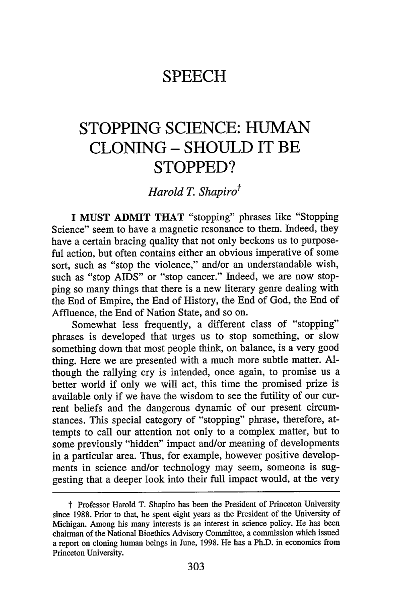### **SPEECH**

## **STOPPING SCIENCE: HUMAN CLONING - SHOULD IT BE STOPPED?**

*Harold T. Shapiro*<sup>†</sup>

**I MUST** ADMIT THAT "stopping" phrases like "Stopping Science" seem to have a magnetic resonance to them. Indeed, they have a certain bracing quality that not only beckons us to purposeful action, but often contains either an obvious imperative of some sort, such as "stop the violence," and/or an understandable wish, such as "stop AIDS" or "stop cancer." Indeed, we are now stopping so many things that there is a new literary genre dealing with the End of Empire, the End of History, the End of God, the End of Affluence, the End of Nation State, and so on.

Somewhat less frequently, a different class of "stopping" phrases is developed that urges us to stop something, or slow something down that most people think, on balance, is a very good thing. Here we are presented with a much more subtle matter. Although the rallying cry is intended, once again, to promise us a better world if only we will act, this time the promised prize is available only if we have the wisdom to see the futility of our current beliefs and the dangerous dynamic of our present circumstances. This special category of "stopping" phrase, therefore, attempts to call our attention not only to a complex matter, but to some previously "hidden" impact and/or meaning of developments in a particular area. Thus, for example, however positive developments in science and/or technology may seem, someone is suggesting that a deeper look into their full impact would, at the very

t Professor Harold T. Shapiro has been the President of Princeton University since 1988. Prior to that, he spent eight years as the President of the University of Michigan. Among his many interests is an interest in science policy. He has been chairman of the National Bioethics Advisory Committee, a commission which issued a report on cloning human beings in June, 1998. He has a Ph.D. in economics from Princeton University.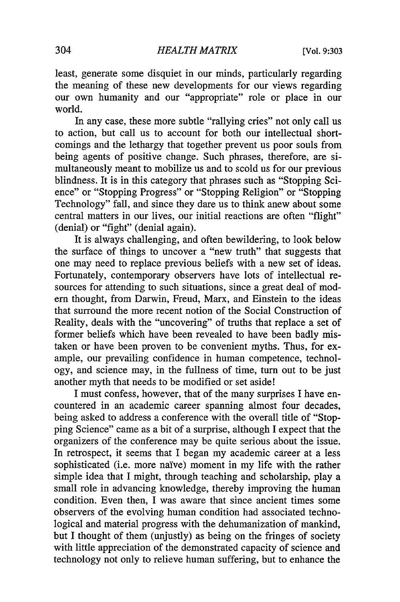least, generate some disquiet in our minds, particularly regarding the meaning of these new developments for our views regarding our own humanity and our "appropriate" role or place in our world.

In any case, these more subtle "rallying cries" not only call us to action, but call us to account for both our intellectual shortcomings and the lethargy that together prevent us poor souls from being agents of positive change. Such phrases, therefore, are simultaneously meant to mobilize us and to scold us for our previous blindness. It is in this category that phrases such as "Stopping Science" or "Stopping Progress" or "Stopping Religion" or "Stopping Technology" fall, and since they dare us to think anew about some central matters in our lives, our initial reactions are often "flight" (denial) or "fight" (denial again).

It is always challenging, and often bewildering, to look below the surface of things to uncover a "new truth" that suggests that one may need to replace previous beliefs with a new set of ideas. Fortunately, contemporary observers have lots of intellectual resources for attending to such situations, since a great deal of modem thought, from Darwin, Freud, Marx, and Einstein to the ideas that surround the more recent notion of the Social Construction of Reality, deals with the "uncovering" of truths that replace a set of former beliefs which have been revealed to have been badly mistaken or have been proven to be convenient myths. Thus, for example, our prevailing confidence in human competence, technology, and science may, in the fullness of time, turn out to be just another myth that needs to be modified or set aside!

I must confess, however, that of the many surprises I have encountered in an academic career spanning almost four decades, being asked to address a conference with the overall title of "Stopping Science" came as a bit of a surprise, although I expect that the organizers of the conference may be quite serious about the issue. In retrospect, it seems that I began my academic career at a less sophisticated (i.e. more naïve) moment in my life with the rather simple idea that I might, through teaching and scholarship, play a small role in advancing knowledge, thereby improving the human condition. Even then, I was aware that since ancient times some observers of the evolving human condition had associated technological and material progress with the dehumanization of mankind, but I thought of them (unjustly) as being on the fringes of society with little appreciation of the demonstrated capacity of science and technology not only to relieve human suffering, but to enhance the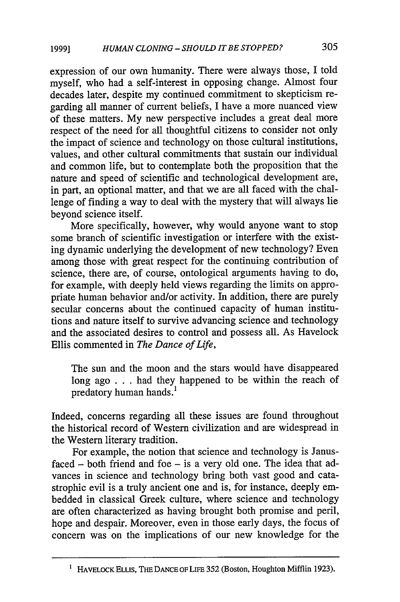expression of our own humanity. There were always those, I told myself, who had a self-interest in opposing change. Almost four decades later, despite my continued commitment to skepticism regarding all manner of current beliefs, I have a more nuanced view of these matters. My new perspective includes a great deal more respect of the need for all thoughtful citizens to consider not only the impact of science and technology on those cultural institutions, values, and other cultural commitments that sustain our individual and common life, but to contemplate both the proposition that the nature and speed of scientific and technological development are, in part, an optional matter, and that we are all faced with the challenge of finding a way to deal with the mystery that will always lie beyond science itself.

More specifically, however, why would anyone want to stop some branch of scientific investigation or interfere with the existing dynamic underlying the development of new technology? Even among those with great respect for the continuing contribution of science, there are, of course, ontological arguments having to do, for example, with deeply held views regarding the limits on appropriate human behavior and/or activity. In addition, there are purely secular concerns about the continued capacity of human institutions and nature itself to survive advancing science and technology and the associated desires to control and possess all. As Havelock Ellis commented in *The Dance of Life,*

The sun and the moon and the stars would have disappeared long ago . . . had they happened to be within the reach of predatory human hands.'

Indeed, concerns regarding all these issues are found throughout the historical record of Western civilization and are widespread in the Western literary tradition.

For example, the notion that science and technology is Janus $faced - both friend and foe - is a very old one. The idea that ad$ vances in science and technology bring both vast good and catastrophic evil is a truly ancient one and is, for instance, deeply embedded in classical Greek culture, where science and technology are often characterized as having brought both promise and peril, hope and despair. Moreover, even in those early days, the focus of concern was on the implications of our new knowledge for the

**<sup>1</sup>** HAVELOCK ELLis, THE DANCE OF LiFE **352** (Boston, Houghton Mifflin **1923).**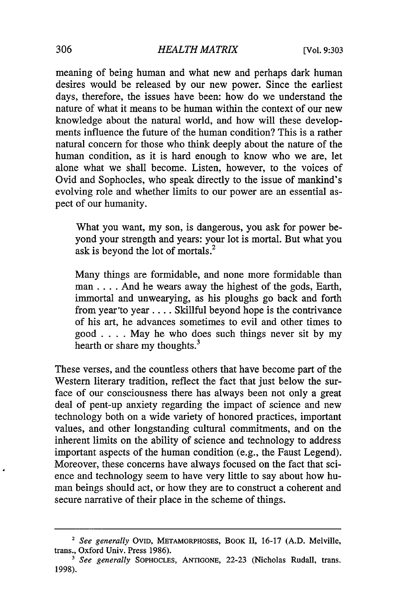meaning of being human and what new and perhaps dark human desires would be released by our new power. Since the earliest days, therefore, the issues have been: how do we understand the nature of what it means to be human within the context of our new knowledge about the natural world, and how will these developments influence the future of the human condition? This is a rather natural concern for those who think deeply about the nature of the human condition, as it is hard enough to know who we are, let alone what we shall become. Listen, however, to the voices of Ovid and Sophocles, who speak directly to the issue of mankind's evolving role and whether limits to our power are an essential aspect of our humanity.

What you want, my son, is dangerous, you ask for power beyond your strength and years: your lot is mortal. But what you ask is beyond the lot of mortals.2

Many things are formidable, and none more formidable than man .... And he wears away the highest of the gods, Earth, immortal and unwearying, as his ploughs go back and forth from year'to year .... Skillful beyond hope is the contrivance of his art, he advances sometimes to evil and other times to good . **. .** . May he who does such things never sit by my hearth or share my thoughts.<sup>3</sup>

These verses, and the countless others that have become part of the Western literary tradition, reflect the fact that just below the surface of our consciousness there has always been not only a great deal of pent-up anxiety regarding the impact of science and new technology both on a wide variety of honored practices, important values, and other longstanding cultural commitments, and on the inherent limits on the ability of science and technology to address important aspects of the human condition (e.g., the Faust Legend). Moreover, these concerns have always focused on the fact that science and technology seem to have very little to say about how human beings should act, or how they are to construct a coherent and secure narrative of their place in the scheme of things.

**<sup>2</sup>***See generally* OVID, METAMORPHOSES, BOOK **II, 16-17 (A.D.** Melville, trans., Oxford Univ. Press **1986).**

*<sup>&#</sup>x27; See generally* **SOPHOCLES,** ANTIGONE, **22-23** (Nicholas Rudall, trans. **1998).**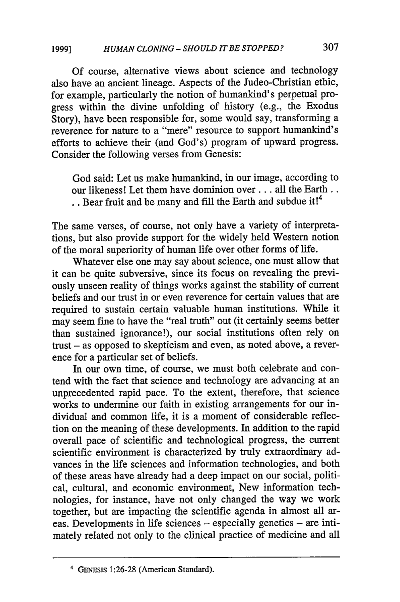Of course, alternative views about science and technology also have an ancient lineage. Aspects of the Judeo-Christian ethic, for example, particularly the notion of humankind's perpetual progress within the divine unfolding of history (e.g., the Exodus Story), have been responsible for, some would say, transforming a reverence for nature to a "mere" resource to support humankind's efforts to achieve their (and God's) program of upward progress. Consider the following verses from Genesis:

God said: Let us make humankind, in our image, according to our likeness! Let them have dominion over . . . all the Earth.. **.** . Bear fruit and be many and fill the Earth and subdue it!4

The same verses, of course, not only have a variety of interpretations, but also provide support for the widely held Western notion of the moral superiority of human life over other forms of life.

Whatever else one may say about science, one must allow that it can be quite subversive, since its focus on revealing the previously unseen reality of things works against the stability of current beliefs and our trust in or even reverence for certain values that are required to sustain certain valuable human institutions. While it may seem fine to have the "real truth" out (it certainly seems better than sustained ignorance!), our social institutions often rely on trust – as opposed to skepticism and even, as noted above, a reverence for a particular set of beliefs.

In our own time, of course, we must both celebrate and contend with the fact that science and technology are advancing at an unprecedented rapid pace. To the extent, therefore, that science works to undermine our faith in existing arrangements for our individual and common life, it is a moment of considerable reflection on the meaning of these developments. In addition to the rapid overall pace of scientific and technological progress, the current scientific environment is characterized by truly extraordinary advances in the life sciences and information technologies, and both of these areas have already had a deep impact on our social, political, cultural, and economic environment, New information technologies, for instance, have not only changed the way we work together, but are impacting the scientific agenda in almost all areas. Developments in life sciences - especially genetics - are intimately related not only to the clinical practice of medicine and all

<sup>4</sup> **GENESIS** 1:26-28 (American Standard).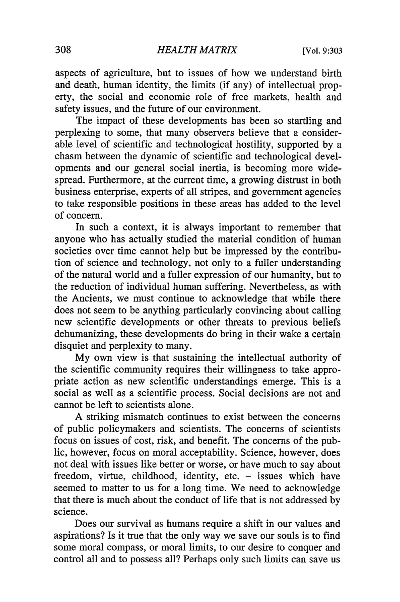aspects of agriculture, but to issues of how we understand birth and death, human identity, the limits (if any) of intellectual property, the social and economic role of free markets, health and safety issues, and the future of our environment.

The impact of these developments has been so startling and perplexing to some, that many observers believe that a considerable level of scientific and technological hostility, supported by a chasm between the dynamic of scientific and technological developments and our general social inertia, is becoming more widespread. Furthermore, at the current time, a growing distrust in both business enterprise, experts of all stripes, and government agencies to take responsible positions in these areas has added to the level of concern.

In such a context, it is always important to remember that anyone who has actually studied the material condition of human societies over time cannot help but be impressed by the contribution of science and technology, not only to a fuller understanding of the natural world and a fuller expression of our humanity, but to the reduction of individual human suffering. Nevertheless, as with the Ancients, we must continue to acknowledge that while there does not seem to be anything particularly convincing about calling new scientific developments or other threats to previous beliefs dehumanizing, these developments do bring in their wake a certain disquiet and perplexity to many.

My own view is that sustaining the intellectual authority of the scientific community requires their willingness to take appropriate action as new scientific understandings emerge. This is a social as well as a scientific process. Social decisions are not and cannot be left to scientists alone.

A striking mismatch continues to exist between the concerns of public policymakers and scientists. The concerns of scientists focus on issues of cost, risk, and benefit. The concerns of the public, however, focus on moral acceptability. Science, however, does not deal with issues like better or worse, or have much to say about freedom, virtue, childhood, identity, etc. - issues which have seemed to matter to us for a long time. We need to acknowledge that there is much about the conduct of life that is not addressed by science.

Does our survival as humans require a shift in our values and aspirations? Is it true that the only way we save our souls is to find some moral compass, or moral limits, to our desire to conquer and control all and to possess all? Perhaps only such limits can save us